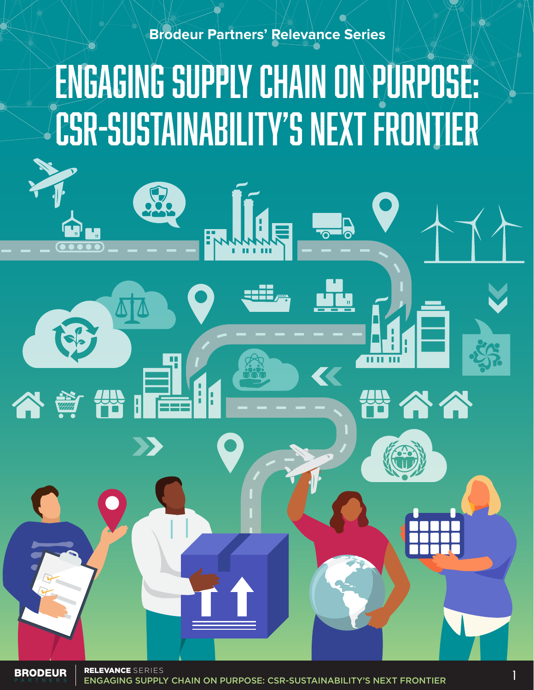#### **Brodeur Partners' Relevance Series**

## ENGAGING SUPPLY CHAIN ON PURPOSE: CSR-SUSTAINABILITY'S NEXT FRONTIER

**BRODEUR** 

谷童

1 ENGAGING SUPPLY CHAIN ON PURPOSE: CSR-SUSTAINABILITY'S NEXT FRONTIER RELEVANCE SERIES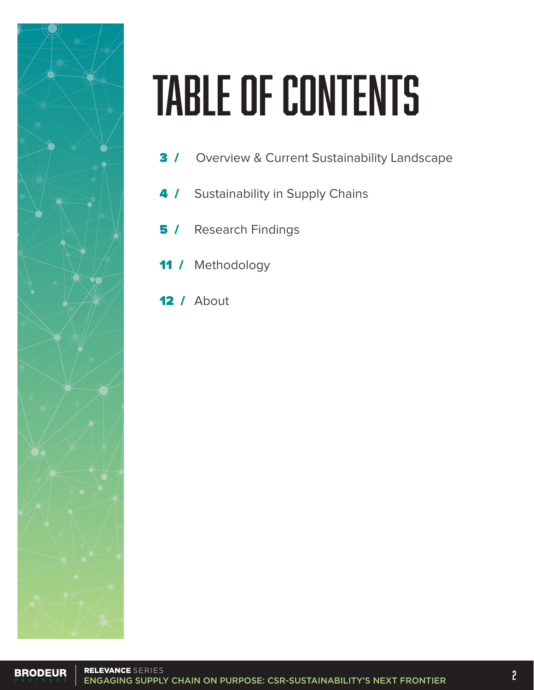

# TABLE OF CONTENTS

- **3 / Overview & Current Sustainability Landscape**
- 4 / Sustainability in Supply Chains
- **5 / Research Findings**
- 11 / Methodology
- 12 / About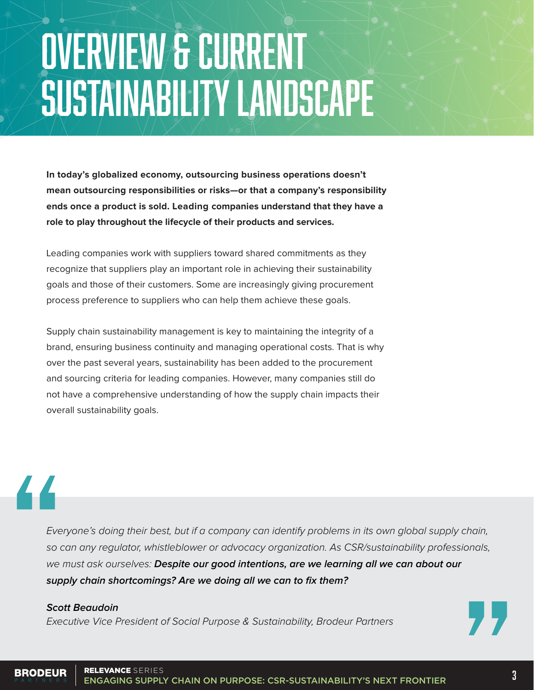## OVERVIEW & CURRENT SUSTAINABILITY LANDSCAPE

**In today's globalized economy, outsourcing business operations doesn't mean outsourcing responsibilities or risks—or that a company's responsibility ends once a product is sold. Leading companies understand that they have a role to play throughout the lifecycle of their products and services.**

Leading companies work with suppliers toward shared commitments as they recognize that suppliers play an important role in achieving their sustainability goals and those of their customers. Some are increasingly giving procurement process preference to suppliers who can help them achieve these goals.

Supply chain sustainability management is key to maintaining the integrity of a brand, ensuring business continuity and managing operational costs. That is why over the past several years, sustainability has been added to the procurement and sourcing criteria for leading companies. However, many companies still do not have a comprehensive understanding of how the supply chain impacts their overall sustainability goals.

## 44

Everyone's doing their best, but if a company can identify problems in its own global supply chain, so can any regulator, whistleblower or advocacy organization. As CSR/sustainability professionals, we must ask ourselves: **Despite our good intentions, are we learning all we can about our supply chain shortcomings? Are we doing all we can to fix them?**

#### **Scott Beaudoin**

Executive Vice President of Social Purpose & Sustainability, Brodeur Partners



#### RELEVANCE SERIES**BRODEUR ELEVANCE** SERIES<br>ENGAGING SUPPLY CHAIN ON PURPOSE: CSR-SUSTAINABILITY'S NEXT FRONTIER **ENGAGING**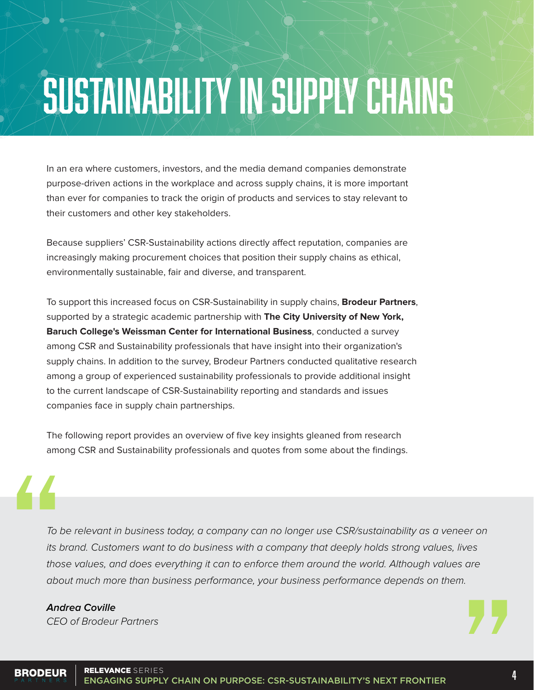## SUSTAINABILITY IN SUPPLY CHAINS

In an era where customers, investors, and the media demand companies demonstrate purpose-driven actions in the workplace and across supply chains, it is more important than ever for companies to track the origin of products and services to stay relevant to their customers and other key stakeholders.

Because suppliers' CSR-Sustainability actions directly affect reputation, companies are increasingly making procurement choices that position their supply chains as ethical, environmentally sustainable, fair and diverse, and transparent.

To support this increased focus on CSR-Sustainability in supply chains, **Brodeur Partners**, supported by a strategic academic partnership with **The City University of New York, Baruch College's Weissman Center for International Business**, conducted a survey among CSR and Sustainability professionals that have insight into their organization's supply chains. In addition to the survey, Brodeur Partners conducted qualitative research among a group of experienced sustainability professionals to provide additional insight to the current landscape of CSR-Sustainability reporting and standards and issues companies face in supply chain partnerships.

The following report provides an overview of five key insights gleaned from research among CSR and Sustainability professionals and quotes from some about the findings.

To be relevant in business today, a company can no longer use CSR/sustainability as a veneer on its brand. Customers want to do business with a company that deeply holds strong values, lives those values, and does everything it can to enforce them around the world. Although values are about much more than business performance, your business performance depends on them.

#### **Andrea Coville**

CEO of Brodeur Partners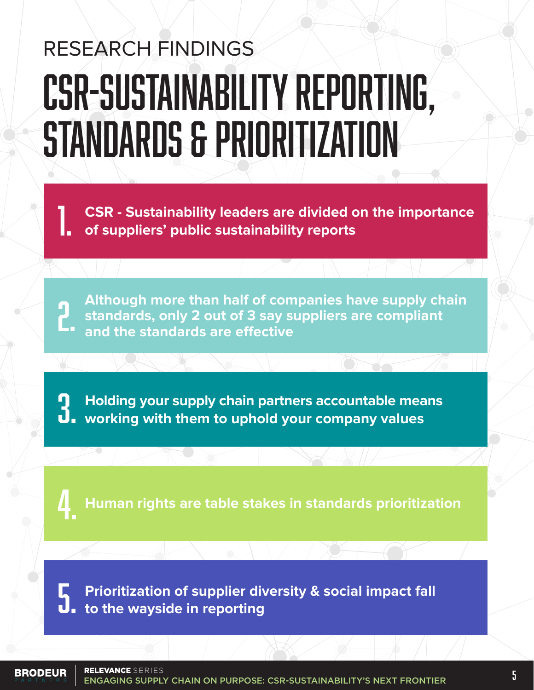## RESEARCH FINDINGS CSR-SUSTAINABILITY REPORTING, STANDARDS & PRIORITIZATION

**CSR - Sustainability leaders are divided on the importance of suppliers' public sustainability reports** 

**Although more than half of companies have supply chain**  standards, only 2 out of 3 say suppliers are compliant and the standards are effective

**Holding your supply chain partners accountable means**<br>**3. working with them to uphold your company values** 

**Human rights are table stakes in standards prioritization** 4.

**Prioritization of supplier diversity & social impact fall**<br>**1.** to the wayside in reporting

RELEVANCE SERIES**BRODEUR** 

**ELEVANCE** SERIES<br>ENGAGING SUPPLY CHAIN ON PURPOSE: CSR-SUSTAINABILITY'S NEXT FRONTIER **ENGAGING**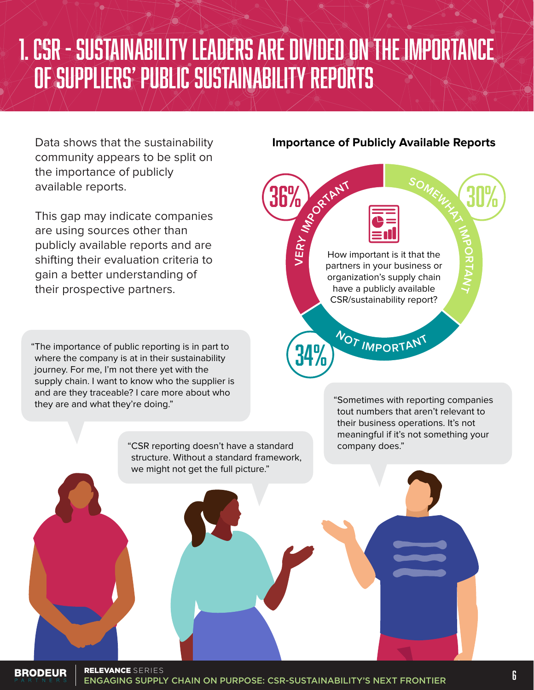### 1. CSR - SUSTAINABILITY LEADERS ARE DIVIDED ON THE IMPORTANCE OF SUPPLIERS' PUBLIC SUSTAINABILITY REPORTS

Data shows that the sustainability community appears to be split on the importance of publicly available reports.

This gap may indicate companies are using sources other than publicly available reports and are shifting their evaluation criteria to gain a better understanding of their prospective partners.

"The importance of public reporting is in part to where the company is at in their sustainability journey. For me, I'm not there yet with the supply chain. I want to know who the supplier is and are they traceable? I care more about who they are and what they're doing."

> "CSR reporting doesn't have a standard structure. Without a standard framework, we might not get the full picture."

#### **Importance of Publicly Available Reports**



"Sometimes with reporting companies tout numbers that aren't relevant to their business operations. It's not meaningful if it's not something your company does."

**BRODEUR** 

**ELLYANCE** SERIES<br>ENGAGING SUPPLY CHAIN ON PURPOSE: CSR-SUSTAINABILITY'S NEXT FRONTIER **ENGAGING** RELEVANCE SERIES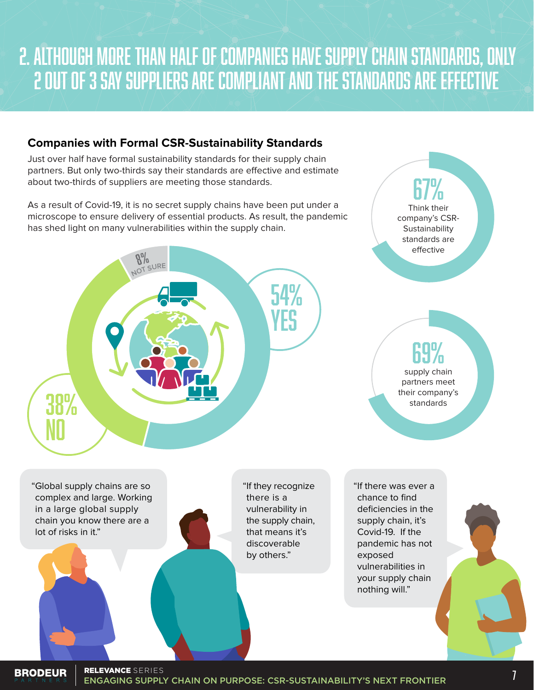### 2. ALTHOUGH MORE THAN HALF OF COMPANIES HAVE SUPPLY CHAIN STANDARDS, ONLY 2 OUT OF 3 SAY SUPPLIERS ARE COMPLIANT AND THE STANDARDS ARE EFFECTIVE

#### **Companies with Formal CSR-Sustainability Standards**

Just over half have formal sustainability standards for their supply chain partners. But only two-thirds say their standards are effective and estimate about two-thirds of suppliers are meeting those standards.

As a result of Covid-19, it is no secret supply chains have been put under a microscope to ensure delivery of essential products. As result, the pandemic has shed light on many vulnerabilities within the supply chain.



**BRODEUR** 

Think their company's CSR-**Sustainability** 

67%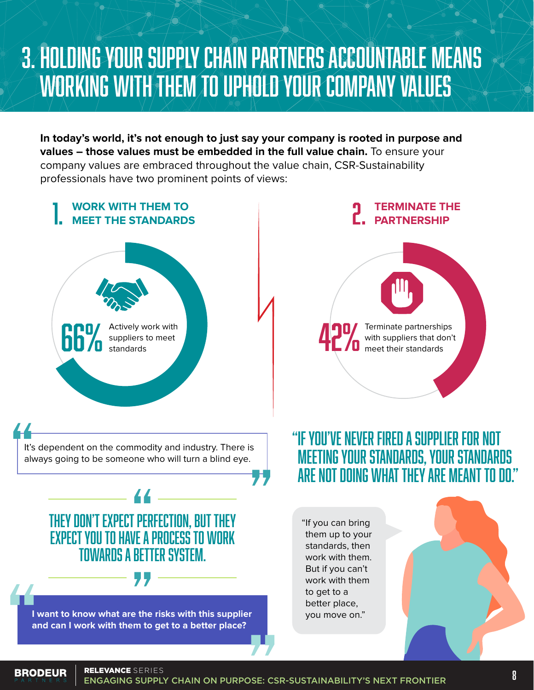### 3. HOLDING YOUR SUPPLY CHAIN PARTNERS ACCOUNTABLE MEANS WORKING WITH THEM TO UPHOLD YOUR COMPANY VALUES

**In today's world, it's not enough to just say your company is rooted in purpose and values – those values must be embedded in the full value chain.** To ensure your company values are embraced throughout the value chain, CSR-Sustainability professionals have two prominent points of views:

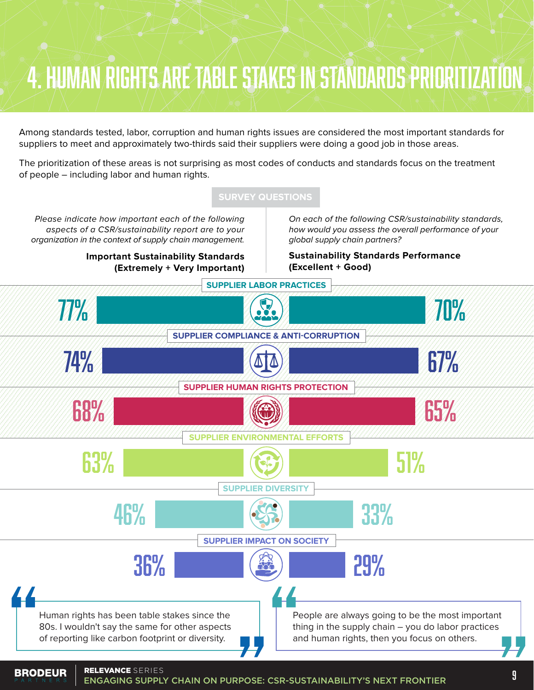### 4. HUMAN RIGHTS ARE TABLE STAKES IN STANDARDS PRIORITIZATION

Among standards tested, labor, corruption and human rights issues are considered the most important standards for suppliers to meet and approximately two-thirds said their suppliers were doing a good job in those areas.

The prioritization of these areas is not surprising as most codes of conducts and standards focus on the treatment of people – including labor and human rights.

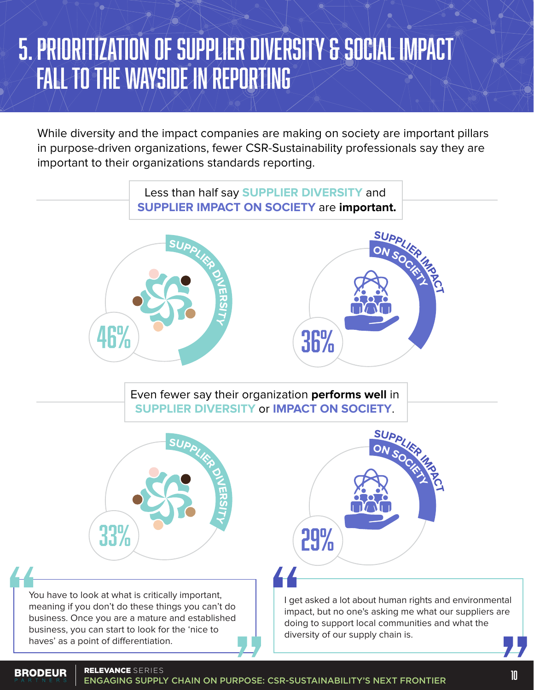### 5. PRIORITIZATION OF SUPPLIER DIVERSITY & SOCIAL IMPACT FALL TO THE WAYSIDE IN REPORTING

While diversity and the impact companies are making on society are important pillars in purpose-driven organizations, fewer CSR-Sustainability professionals say they are important to their organizations standards reporting.

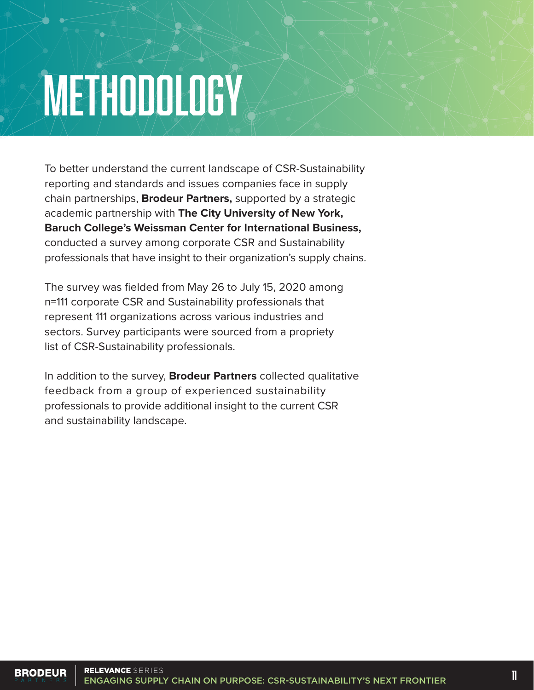# **METHODOLOGY**

To better understand the current landscape of CSR-Sustainability reporting and standards and issues companies face in supply chain partnerships, **Brodeur Partners,** supported by a strategic academic partnership with **The City University of New York, Baruch College's Weissman Center for International Business,** conducted a survey among corporate CSR and Sustainability professionals that have insight to their organization's supply chains.

The survey was fielded from May 26 to July 15, 2020 among n=111 corporate CSR and Sustainability professionals that represent 111 organizations across various industries and sectors. Survey participants were sourced from a propriety list of CSR-Sustainability professionals.

In addition to the survey, **Brodeur Partners** collected qualitative feedback from a group of experienced sustainability professionals to provide additional insight to the current CSR and sustainability landscape.